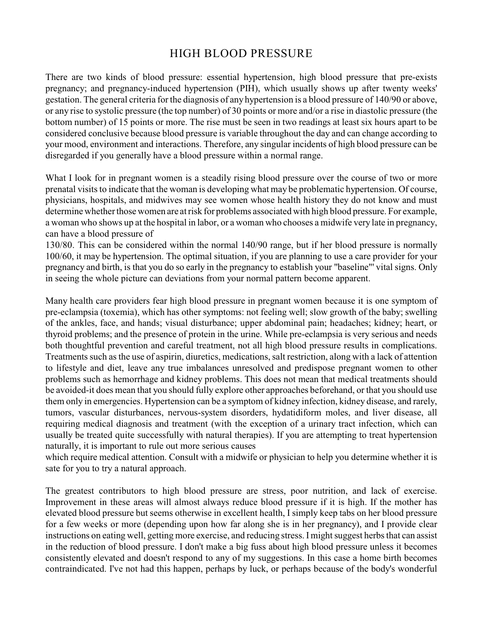## HIGH BLOOD PRESSURE

There are two kinds of blood pressure: essential hypertension, high blood pressure that pre-exists pregnancy; and pregnancy-induced hypertension (PIH), which usually shows up after twenty weeks' gestation. The general criteria for the diagnosis of any hypertension is a blood pressure of 140/90 or above, or any rise to systolic pressure (the top number) of 30 points or more and/or a rise in diastolic pressure (the bottom number) of 15 points or more. The rise must be seen in two readings at least six hours apart to be considered conclusive because blood pressure is variable throughout the day and can change according to your mood, environment and interactions. Therefore, any singular incidents of high blood pressure can be disregarded if you generally have a blood pressure within a normal range.

What I look for in pregnant women is a steadily rising blood pressure over the course of two or more prenatal visits to indicate that the woman is developing what may be problematic hypertension. Of course, physicians, hospitals, and midwives may see women whose health history they do not know and must determine whether those women are at risk for problems associated with high blood pressure. For example, a woman who shows up at the hospital in labor, or a woman who chooses a midwife very late in pregnancy, can have a blood pressure of

130/80. This can be considered within the normal 140/90 range, but if her blood pressure is normally 100/60, it may be hypertension. The optimal situation, if you are planning to use a care provider for your pregnancy and birth, is that you do so early in the pregnancy to establish your "baseline"' vital signs. Only in seeing the whole picture can deviations from your normal pattern become apparent.

Many health care providers fear high blood pressure in pregnant women because it is one symptom of pre-eclampsia (toxemia), which has other symptoms: not feeling well; slow growth of the baby; swelling of the ankles, face, and hands; visual disturbance; upper abdominal pain; headaches; kidney; heart, or thyroid problems; and the presence of protein in the urine. While pre-eclampsia is very serious and needs both thoughtful prevention and careful treatment, not all high blood pressure results in complications. Treatments such as the use of aspirin, diuretics, medications, salt restriction, along with a lack of attention to lifestyle and diet, leave any true imbalances unresolved and predispose pregnant women to other problems such as hemorrhage and kidney problems. This does not mean that medical treatments should be avoided-it does mean that you should fully explore other approaches beforehand, or that you should use them only in emergencies. Hypertension can be a symptom of kidney infection, kidney disease, and rarely, tumors, vascular disturbances, nervous-system disorders, hydatidiform moles, and liver disease, all requiring medical diagnosis and treatment (with the exception of a urinary tract infection, which can usually be treated quite successfully with natural therapies). If you are attempting to treat hypertension naturally, it is important to rule out more serious causes

which require medical attention. Consult with a midwife or physician to help you determine whether it is sate for you to try a natural approach.

The greatest contributors to high blood pressure are stress, poor nutrition, and lack of exercise. Improvement in these areas will almost always reduce blood pressure if it is high. If the mother has elevated blood pressure but seems otherwise in excellent health, I simply keep tabs on her blood pressure for a few weeks or more (depending upon how far along she is in her pregnancy), and I provide clear instructions on eating well, getting more exercise, and reducing stress. I might suggest herbs that can assist in the reduction of blood pressure. I don't make a big fuss about high blood pressure unless it becomes consistently elevated and doesn't respond to any of my suggestions. In this case a home birth becomes contraindicated. I've not had this happen, perhaps by luck, or perhaps because of the body's wonderful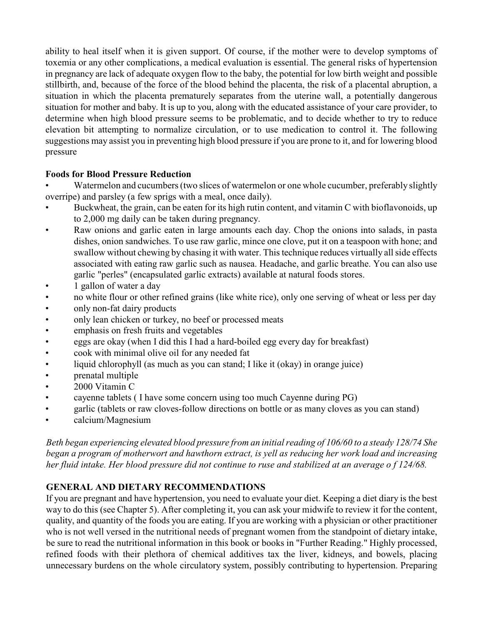ability to heal itself when it is given support. Of course, if the mother were to develop symptoms of toxemia or any other complications, a medical evaluation is essential. The general risks of hypertension in pregnancy are lack of adequate oxygen flow to the baby, the potential for low birth weight and possible stillbirth, and, because of the force of the blood behind the placenta, the risk of a placental abruption, a situation in which the placenta prematurely separates from the uterine wall, a potentially dangerous situation for mother and baby. It is up to you, along with the educated assistance of your care provider, to determine when high blood pressure seems to be problematic, and to decide whether to try to reduce elevation bit attempting to normalize circulation, or to use medication to control it. The following suggestions may assist you in preventing high blood pressure if you are prone to it, and for lowering blood pressure

## **Foods for Blood Pressure Reduction**

Watermelon and cucumbers (two slices of watermelon or one whole cucumber, preferably slightly overripe) and parsley (a few sprigs with a meal, once daily).

- Buckwheat, the grain, can be eaten for its high rutin content, and vitamin C with bioflavonoids, up to 2,000 mg daily can be taken during pregnancy.
- Raw onions and garlic eaten in large amounts each day. Chop the onions into salads, in pasta dishes, onion sandwiches. To use raw garlic, mince one clove, put it on a teaspoon with hone; and swallow without chewing by chasing it with water. This technique reduces virtually all side effects associated with eating raw garlic such as nausea. Headache, and garlic breathe. You can also use garlic "perles" (encapsulated garlic extracts) available at natural foods stores.
- 1 gallon of water a day
- no white flour or other refined grains (like white rice), only one serving of wheat or less per day<br>• only non-fat dairy products
- only non-fat dairy products
- only lean chicken or turkey, no beef or processed meats
- emphasis on fresh fruits and vegetables
- eggs are okay (when I did this I had a hard-boiled egg every day for breakfast)
- cook with minimal olive oil for any needed fat
- liquid chlorophyll (as much as you can stand; I like it (okay) in orange juice)
- prenatal multiple
- 2000 Vitamin C
- cayenne tablets ( I have some concern using too much Cayenne during PG)
- garlic (tablets or raw cloves-follow directions on bottle or as many cloves as you can stand)
- calcium/Magnesium

*Beth began experiencing elevated blood pressure from an initialreading of 106/60 to a steady 128/74 She began a program of motherwort and hawthorn extract, is yell as reducing her work load and increasing her fluid intake. Her blood pressure did not continue to ruse and stabilized at an average o f 124/68.*

## **GENERAL AND DIETARY RECOMMENDATIONS**

If you are pregnant and have hypertension, you need to evaluate your diet. Keeping a diet diary is the best way to do this (see Chapter 5). After completing it, you can ask your midwife to review it for the content, quality, and quantity of the foods you are eating. If you are working with a physician or other practitioner who is not well versed in the nutritional needs of pregnant women from the standpoint of dietary intake, be sure to read the nutritional information in this book or books in "Further Reading." Highly processed, refined foods with their plethora of chemical additives tax the liver, kidneys, and bowels, placing unnecessary burdens on the whole circulatory system, possibly contributing to hypertension. Preparing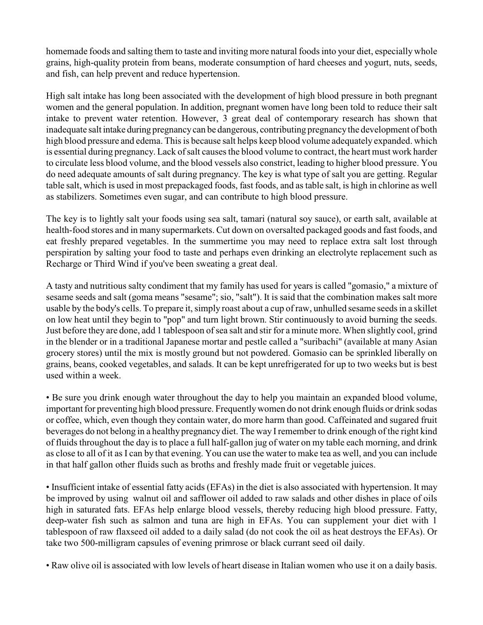homemade foods and salting them to taste and inviting more natural foods into your diet, especially whole grains, high-quality protein from beans, moderate consumption of hard cheeses and yogurt, nuts, seeds, and fish, can help prevent and reduce hypertension.

High salt intake has long been associated with the development of high blood pressure in both pregnant women and the general population. In addition, pregnant women have long been told to reduce their salt intake to prevent water retention. However, 3 great deal of contemporary research has shown that inadequate salt intake during pregnancy can be dangerous, contributing pregnancy the development of both high blood pressure and edema. This is because salt helps keep blood volume adequately expanded. which is essential during pregnancy. Lack of salt causes the blood volume to contract, the heart must work harder to circulate less blood volume, and the blood vessels also constrict, leading to higher blood pressure. You do need adequate amounts of salt during pregnancy. The key is what type of salt you are getting. Regular table salt, which is used in most prepackaged foods, fast foods, and as table salt, is high in chlorine as well as stabilizers. Sometimes even sugar, and can contribute to high blood pressure.

The key is to lightly salt your foods using sea salt, tamari (natural soy sauce), or earth salt, available at health-food stores and in many supermarkets. Cut down on oversalted packaged goods and fast foods, and eat freshly prepared vegetables. In the summertime you may need to replace extra salt lost through perspiration by salting your food to taste and perhaps even drinking an electrolyte replacement such as Recharge or Third Wind if you've been sweating a great deal.

A tasty and nutritious salty condiment that my family has used for years is called "gomasio," a mixture of sesame seeds and salt (goma means "sesame"; sio, "salt"). It is said that the combination makes salt more usable by the body's cells. To prepare it, simply roast about a cup of raw, unhulled sesame seeds in a skillet on low heat until they begin to "pop" and turn light brown. Stir continuously to avoid burning the seeds. Just before they are done, add 1 tablespoon of sea salt and stir for a minute more. When slightly cool, grind in the blender or in a traditional Japanese mortar and pestle called a "suribachi" (available at many Asian grocery stores) until the mix is mostly ground but not powdered. Gomasio can be sprinkled liberally on grains, beans, cooked vegetables, and salads. It can be kept unrefrigerated for up to two weeks but is best used within a week.

• Be sure you drink enough water throughout the day to help you maintain an expanded blood volume, important for preventing high blood pressure. Frequentlywomen do not drink enough fluids or drink sodas or coffee, which, even though they contain water, do more harm than good. Caffeinated and sugared fruit beverages do not belong in a healthy pregnancy diet. The way I remember to drink enough of the right kind of fluids throughout the day is to place a full half-gallon jug of water on my table each morning, and drink as close to all of it as I can by that evening. You can use the water to make tea as well, and you can include in that half gallon other fluids such as broths and freshly made fruit or vegetable juices.

• Insufficient intake of essential fatty acids (EFAs) in the diet is also associated with hypertension. It may be improved by using walnut oil and safflower oil added to raw salads and other dishes in place of oils high in saturated fats. EFAs help enlarge blood vessels, thereby reducing high blood pressure. Fatty, deep-water fish such as salmon and tuna are high in EFAs. You can supplement your diet with 1 tablespoon of raw flaxseed oil added to a daily salad (do not cook the oil as heat destroys the EFAs). Or take two 500-milligram capsules of evening primrose or black currant seed oil daily.

• Raw olive oil is associated with low levels of heart disease in Italian women who use it on a daily basis.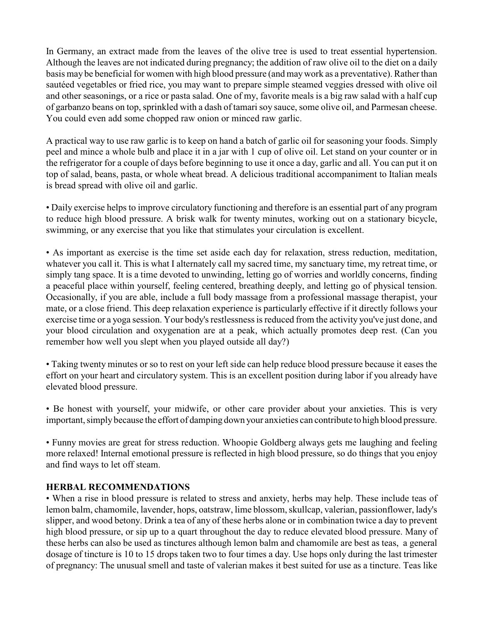In Germany, an extract made from the leaves of the olive tree is used to treat essential hypertension. Although the leaves are not indicated during pregnancy; the addition of raw olive oil to the diet on a daily basis may be beneficial for women with high blood pressure (and may work as a preventative). Rather than sautéed vegetables or fried rice, you may want to prepare simple steamed veggies dressed with olive oil and other seasonings, or a rice or pasta salad. One of my, favorite meals is a big raw salad with a half cup of garbanzo beans on top, sprinkled with a dash of tamari soy sauce, some olive oil, and Parmesan cheese. You could even add some chopped raw onion or minced raw garlic.

A practical way to use raw garlic is to keep on hand a batch of garlic oil for seasoning your foods. Simply peel and mince a whole bulb and place it in a jar with 1 cup of olive oil. Let stand on your counter or in the refrigerator for a couple of days before beginning to use it once a day, garlic and all. You can put it on top of salad, beans, pasta, or whole wheat bread. A delicious traditional accompaniment to Italian meals is bread spread with olive oil and garlic.

• Daily exercise helps to improve circulatory functioning and therefore is an essential part of any program to reduce high blood pressure. A brisk walk for twenty minutes, working out on a stationary bicycle, swimming, or any exercise that you like that stimulates your circulation is excellent.

• As important as exercise is the time set aside each day for relaxation, stress reduction, meditation, whatever you call it. This is what I alternately call my sacred time, my sanctuary time, my retreat time, or simply tang space. It is a time devoted to unwinding, letting go of worries and worldly concerns, finding a peaceful place within yourself, feeling centered, breathing deeply, and letting go of physical tension. Occasionally, if you are able, include a full body massage from a professional massage therapist, your mate, or a close friend. This deep relaxation experience is particularly effective if it directly follows your exercise time or a yoga session. Your body's restlessness is reduced from the activity you've just done, and your blood circulation and oxygenation are at a peak, which actually promotes deep rest. (Can you remember how well you slept when you played outside all day?)

• Taking twenty minutes or so to rest on your left side can help reduce blood pressure because it eases the effort on your heart and circulatory system. This is an excellent position during labor if you already have elevated blood pressure.

• Be honest with yourself, your midwife, or other care provider about your anxieties. This is very important, simply because the effort of damping down your anxieties can contribute to high blood pressure.

• Funny movies are great for stress reduction. Whoopie Goldberg always gets me laughing and feeling more relaxed! Internal emotional pressure is reflected in high blood pressure, so do things that you enjoy and find ways to let off steam.

## **HERBAL RECOMMENDATIONS**

• When a rise in blood pressure is related to stress and anxiety, herbs may help. These include teas of lemon balm, chamomile, lavender, hops, oatstraw, lime blossom,skullcap, valerian, passionflower, lady's slipper, and wood betony. Drink a tea of any of these herbs alone or in combination twice a day to prevent high blood pressure, or sip up to a quart throughout the day to reduce elevated blood pressure. Many of these herbs can also be used as tinctures although lemon balm and chamomile are best as teas, a general dosage of tincture is 10 to 15 drops taken two to four times a day. Use hops only during the last trimester of pregnancy: The unusual smell and taste of valerian makes it best suited for use as a tincture. Teas like